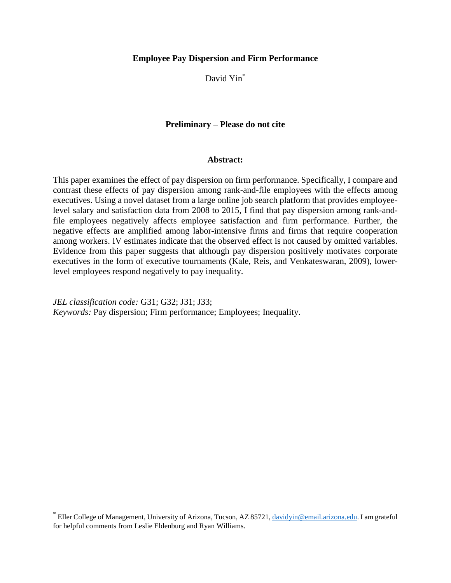# **Employee Pay Dispersion and Firm Performance**

David Yin\*

# **Preliminary – Please do not cite**

## **Abstract:**

This paper examines the effect of pay dispersion on firm performance. Specifically, I compare and contrast these effects of pay dispersion among rank-and-file employees with the effects among executives. Using a novel dataset from a large online job search platform that provides employeelevel salary and satisfaction data from 2008 to 2015, I find that pay dispersion among rank-andfile employees negatively affects employee satisfaction and firm performance. Further, the negative effects are amplified among labor-intensive firms and firms that require cooperation among workers. IV estimates indicate that the observed effect is not caused by omitted variables. Evidence from this paper suggests that although pay dispersion positively motivates corporate executives in the form of executive tournaments (Kale, Reis, and Venkateswaran, 2009), lowerlevel employees respond negatively to pay inequality.

*JEL classification code:* G31; G32; J31; J33; *Keywords:* Pay dispersion; Firm performance; Employees; Inequality.

 $\overline{a}$ 

<sup>\*</sup> Eller College of Management, University of Arizona, Tucson, AZ 85721[, davidyin@email.arizona.edu.](mailto:davidyin@email.arizona.edu) I am grateful for helpful comments from Leslie Eldenburg and Ryan Williams.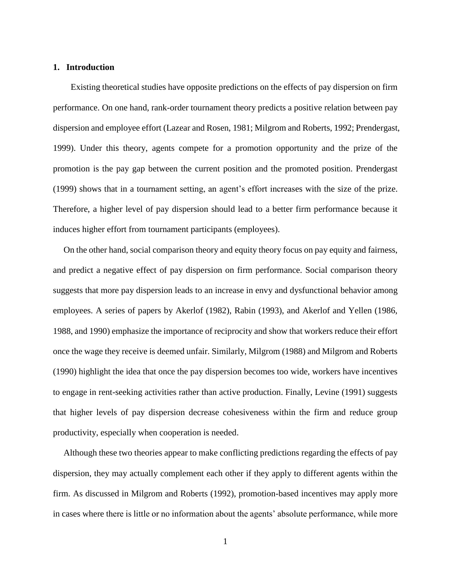# **1. Introduction**

 Existing theoretical studies have opposite predictions on the effects of pay dispersion on firm performance. On one hand, rank-order tournament theory predicts a positive relation between pay dispersion and employee effort (Lazear and Rosen, 1981; Milgrom and Roberts, 1992; Prendergast, 1999). Under this theory, agents compete for a promotion opportunity and the prize of the promotion is the pay gap between the current position and the promoted position. Prendergast (1999) shows that in a tournament setting, an agent's effort increases with the size of the prize. Therefore, a higher level of pay dispersion should lead to a better firm performance because it induces higher effort from tournament participants (employees).

On the other hand, social comparison theory and equity theory focus on pay equity and fairness, and predict a negative effect of pay dispersion on firm performance. Social comparison theory suggests that more pay dispersion leads to an increase in envy and dysfunctional behavior among employees. A series of papers by Akerlof (1982), Rabin (1993), and Akerlof and Yellen (1986, 1988, and 1990) emphasize the importance of reciprocity and show that workers reduce their effort once the wage they receive is deemed unfair. Similarly, Milgrom (1988) and Milgrom and Roberts (1990) highlight the idea that once the pay dispersion becomes too wide, workers have incentives to engage in rent-seeking activities rather than active production. Finally, Levine (1991) suggests that higher levels of pay dispersion decrease cohesiveness within the firm and reduce group productivity, especially when cooperation is needed.

Although these two theories appear to make conflicting predictions regarding the effects of pay dispersion, they may actually complement each other if they apply to different agents within the firm. As discussed in Milgrom and Roberts (1992), promotion-based incentives may apply more in cases where there is little or no information about the agents' absolute performance, while more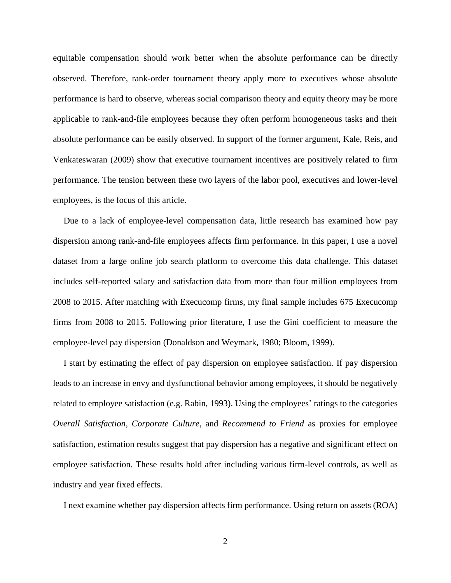equitable compensation should work better when the absolute performance can be directly observed. Therefore, rank-order tournament theory apply more to executives whose absolute performance is hard to observe, whereas social comparison theory and equity theory may be more applicable to rank-and-file employees because they often perform homogeneous tasks and their absolute performance can be easily observed. In support of the former argument, Kale, Reis, and Venkateswaran (2009) show that executive tournament incentives are positively related to firm performance. The tension between these two layers of the labor pool, executives and lower-level employees, is the focus of this article.

Due to a lack of employee-level compensation data, little research has examined how pay dispersion among rank-and-file employees affects firm performance. In this paper, I use a novel dataset from a large online job search platform to overcome this data challenge. This dataset includes self-reported salary and satisfaction data from more than four million employees from 2008 to 2015. After matching with Execucomp firms, my final sample includes 675 Execucomp firms from 2008 to 2015. Following prior literature, I use the Gini coefficient to measure the employee-level pay dispersion (Donaldson and Weymark, 1980; Bloom, 1999).

I start by estimating the effect of pay dispersion on employee satisfaction. If pay dispersion leads to an increase in envy and dysfunctional behavior among employees, it should be negatively related to employee satisfaction (e.g. Rabin, 1993). Using the employees' ratings to the categories *Overall Satisfaction*, *Corporate Culture*, and *Recommend to Friend* as proxies for employee satisfaction, estimation results suggest that pay dispersion has a negative and significant effect on employee satisfaction. These results hold after including various firm-level controls, as well as industry and year fixed effects.

I next examine whether pay dispersion affects firm performance. Using return on assets (ROA)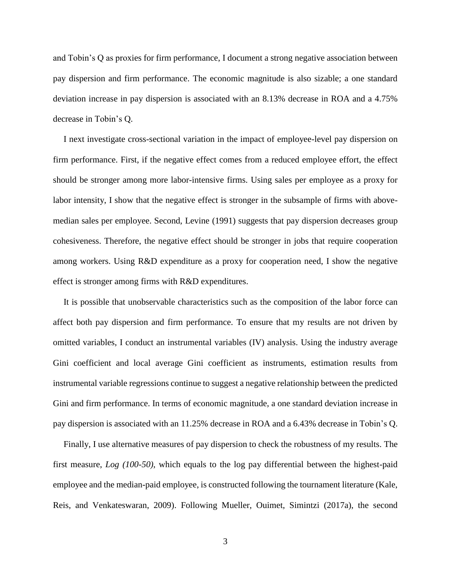and Tobin's Q as proxies for firm performance, I document a strong negative association between pay dispersion and firm performance. The economic magnitude is also sizable; a one standard deviation increase in pay dispersion is associated with an 8.13% decrease in ROA and a 4.75% decrease in Tobin's Q.

I next investigate cross-sectional variation in the impact of employee-level pay dispersion on firm performance. First, if the negative effect comes from a reduced employee effort, the effect should be stronger among more labor-intensive firms. Using sales per employee as a proxy for labor intensity, I show that the negative effect is stronger in the subsample of firms with abovemedian sales per employee. Second, Levine (1991) suggests that pay dispersion decreases group cohesiveness. Therefore, the negative effect should be stronger in jobs that require cooperation among workers. Using R&D expenditure as a proxy for cooperation need, I show the negative effect is stronger among firms with R&D expenditures.

It is possible that unobservable characteristics such as the composition of the labor force can affect both pay dispersion and firm performance. To ensure that my results are not driven by omitted variables, I conduct an instrumental variables (IV) analysis. Using the industry average Gini coefficient and local average Gini coefficient as instruments, estimation results from instrumental variable regressions continue to suggest a negative relationship between the predicted Gini and firm performance. In terms of economic magnitude, a one standard deviation increase in pay dispersion is associated with an 11.25% decrease in ROA and a 6.43% decrease in Tobin's Q.

Finally, I use alternative measures of pay dispersion to check the robustness of my results. The first measure, *Log (100-50)*, which equals to the log pay differential between the highest-paid employee and the median-paid employee, is constructed following the tournament literature (Kale, Reis, and Venkateswaran, 2009). Following Mueller, Ouimet, Simintzi (2017a), the second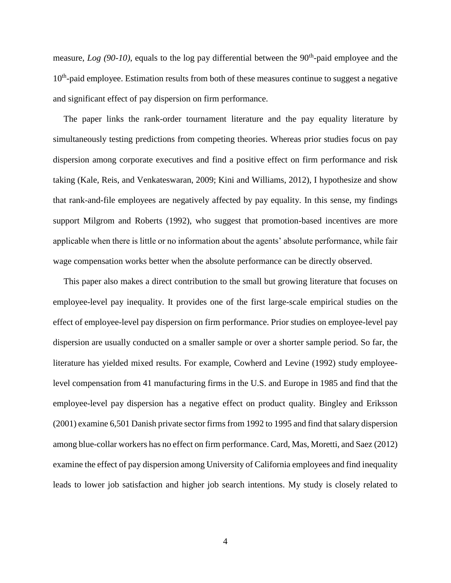measure, *Log* (90-10), equals to the log pay differential between the 90<sup>th</sup>-paid employee and the 10<sup>th</sup>-paid employee. Estimation results from both of these measures continue to suggest a negative and significant effect of pay dispersion on firm performance.

The paper links the rank-order tournament literature and the pay equality literature by simultaneously testing predictions from competing theories. Whereas prior studies focus on pay dispersion among corporate executives and find a positive effect on firm performance and risk taking (Kale, Reis, and Venkateswaran, 2009; Kini and Williams, 2012), I hypothesize and show that rank-and-file employees are negatively affected by pay equality. In this sense, my findings support Milgrom and Roberts (1992), who suggest that promotion-based incentives are more applicable when there is little or no information about the agents' absolute performance, while fair wage compensation works better when the absolute performance can be directly observed.

This paper also makes a direct contribution to the small but growing literature that focuses on employee-level pay inequality. It provides one of the first large-scale empirical studies on the effect of employee-level pay dispersion on firm performance. Prior studies on employee-level pay dispersion are usually conducted on a smaller sample or over a shorter sample period. So far, the literature has yielded mixed results. For example, Cowherd and Levine (1992) study employeelevel compensation from 41 manufacturing firms in the U.S. and Europe in 1985 and find that the employee-level pay dispersion has a negative effect on product quality. Bingley and Eriksson (2001) examine 6,501 Danish private sector firms from 1992 to 1995 and find that salary dispersion among blue-collar workers has no effect on firm performance. Card, Mas, Moretti, and Saez (2012) examine the effect of pay dispersion among University of California employees and find inequality leads to lower job satisfaction and higher job search intentions. My study is closely related to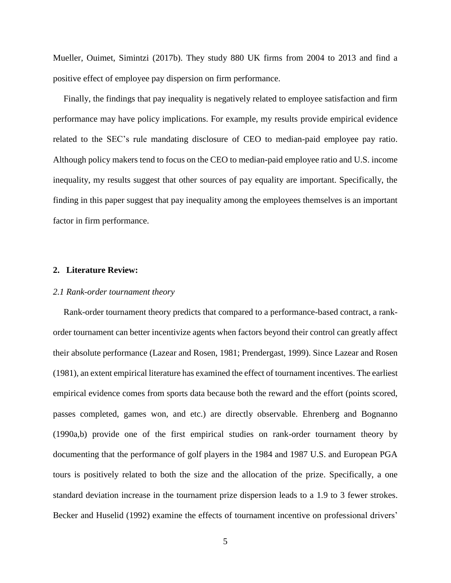Mueller, Ouimet, Simintzi (2017b). They study 880 UK firms from 2004 to 2013 and find a positive effect of employee pay dispersion on firm performance.

Finally, the findings that pay inequality is negatively related to employee satisfaction and firm performance may have policy implications. For example, my results provide empirical evidence related to the SEC's rule mandating disclosure of CEO to median-paid employee pay ratio. Although policy makers tend to focus on the CEO to median-paid employee ratio and U.S. income inequality, my results suggest that other sources of pay equality are important. Specifically, the finding in this paper suggest that pay inequality among the employees themselves is an important factor in firm performance.

### **2. Literature Review:**

#### *2.1 Rank-order tournament theory*

Rank-order tournament theory predicts that compared to a performance-based contract, a rankorder tournament can better incentivize agents when factors beyond their control can greatly affect their absolute performance (Lazear and Rosen, 1981; Prendergast, 1999). Since Lazear and Rosen (1981), an extent empirical literature has examined the effect of tournament incentives. The earliest empirical evidence comes from sports data because both the reward and the effort (points scored, passes completed, games won, and etc.) are directly observable. Ehrenberg and Bognanno (1990a,b) provide one of the first empirical studies on rank-order tournament theory by documenting that the performance of golf players in the 1984 and 1987 U.S. and European PGA tours is positively related to both the size and the allocation of the prize. Specifically, a one standard deviation increase in the tournament prize dispersion leads to a 1.9 to 3 fewer strokes. Becker and Huselid (1992) examine the effects of tournament incentive on professional drivers'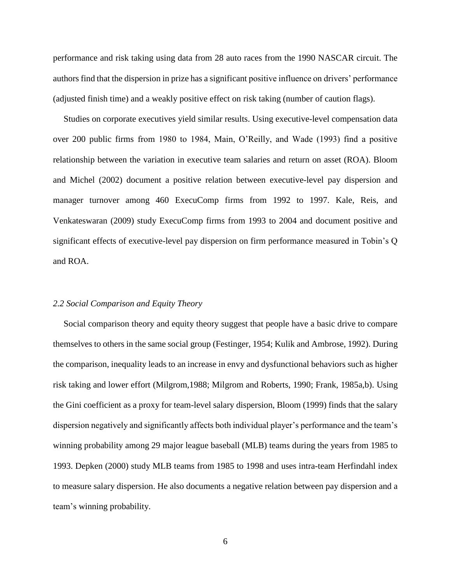performance and risk taking using data from 28 auto races from the 1990 NASCAR circuit. The authors find that the dispersion in prize has a significant positive influence on drivers' performance (adjusted finish time) and a weakly positive effect on risk taking (number of caution flags).

Studies on corporate executives yield similar results. Using executive-level compensation data over 200 public firms from 1980 to 1984, Main, O'Reilly, and Wade (1993) find a positive relationship between the variation in executive team salaries and return on asset (ROA). Bloom and Michel (2002) document a positive relation between executive-level pay dispersion and manager turnover among 460 ExecuComp firms from 1992 to 1997. Kale, Reis, and Venkateswaran (2009) study ExecuComp firms from 1993 to 2004 and document positive and significant effects of executive-level pay dispersion on firm performance measured in Tobin's Q and ROA.

#### *2.2 Social Comparison and Equity Theory*

Social comparison theory and equity theory suggest that people have a basic drive to compare themselves to others in the same social group (Festinger, 1954; Kulik and Ambrose, 1992). During the comparison, inequality leads to an increase in envy and dysfunctional behaviors such as higher risk taking and lower effort (Milgrom,1988; Milgrom and Roberts, 1990; Frank, 1985a,b). Using the Gini coefficient as a proxy for team-level salary dispersion, Bloom (1999) finds that the salary dispersion negatively and significantly affects both individual player's performance and the team's winning probability among 29 major league baseball (MLB) teams during the years from 1985 to 1993. Depken (2000) study MLB teams from 1985 to 1998 and uses intra-team Herfindahl index to measure salary dispersion. He also documents a negative relation between pay dispersion and a team's winning probability.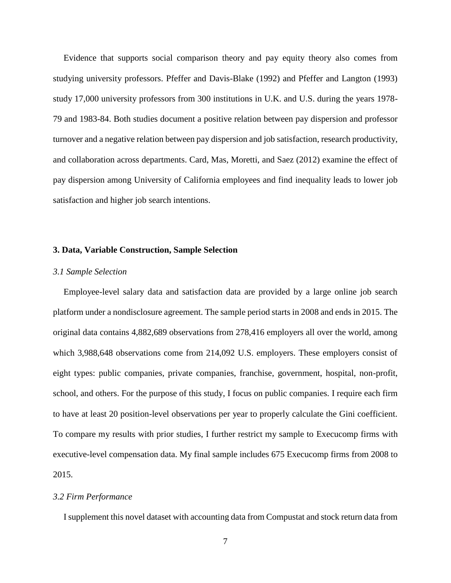Evidence that supports social comparison theory and pay equity theory also comes from studying university professors. Pfeffer and Davis-Blake (1992) and Pfeffer and Langton (1993) study 17,000 university professors from 300 institutions in U.K. and U.S. during the years 1978- 79 and 1983-84. Both studies document a positive relation between pay dispersion and professor turnover and a negative relation between pay dispersion and job satisfaction, research productivity, and collaboration across departments. Card, Mas, Moretti, and Saez (2012) examine the effect of pay dispersion among University of California employees and find inequality leads to lower job satisfaction and higher job search intentions.

#### **3. Data, Variable Construction, Sample Selection**

## *3.1 Sample Selection*

Employee-level salary data and satisfaction data are provided by a large online job search platform under a nondisclosure agreement. The sample period starts in 2008 and ends in 2015. The original data contains 4,882,689 observations from 278,416 employers all over the world, among which 3,988,648 observations come from 214,092 U.S. employers. These employers consist of eight types: public companies, private companies, franchise, government, hospital, non-profit, school, and others. For the purpose of this study, I focus on public companies. I require each firm to have at least 20 position-level observations per year to properly calculate the Gini coefficient. To compare my results with prior studies, I further restrict my sample to Execucomp firms with executive-level compensation data. My final sample includes 675 Execucomp firms from 2008 to 2015.

#### *3.2 Firm Performance*

I supplement this novel dataset with accounting data from Compustat and stock return data from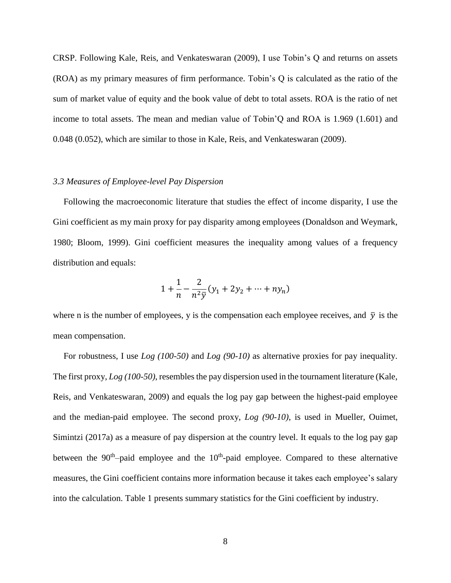CRSP. Following Kale, Reis, and Venkateswaran (2009), I use Tobin's Q and returns on assets (ROA) as my primary measures of firm performance. Tobin's Q is calculated as the ratio of the sum of market value of equity and the book value of debt to total assets. ROA is the ratio of net income to total assets. The mean and median value of Tobin'Q and ROA is 1.969 (1.601) and 0.048 (0.052), which are similar to those in Kale, Reis, and Venkateswaran (2009).

## *3.3 Measures of Employee-level Pay Dispersion*

Following the macroeconomic literature that studies the effect of income disparity, I use the Gini coefficient as my main proxy for pay disparity among employees (Donaldson and Weymark, 1980; Bloom, 1999). Gini coefficient measures the inequality among values of a frequency distribution and equals:

$$
1 + \frac{1}{n} - \frac{2}{n^2 \bar{y}} (y_1 + 2y_2 + \dots + ny_n)
$$

where n is the number of employees, y is the compensation each employee receives, and  $\bar{y}$  is the mean compensation.

For robustness, I use *Log (100-50)* and *Log (90-10)* as alternative proxies for pay inequality. The first proxy, *Log (100-50)*, resembles the pay dispersion used in the tournament literature (Kale, Reis, and Venkateswaran, 2009) and equals the log pay gap between the highest-paid employee and the median-paid employee. The second proxy, *Log (90-10)*, is used in Mueller, Ouimet, Simintzi (2017a) as a measure of pay dispersion at the country level. It equals to the log pay gap between the  $90<sup>th</sup>$ -paid employee and the  $10<sup>th</sup>$ -paid employee. Compared to these alternative measures, the Gini coefficient contains more information because it takes each employee's salary into the calculation. Table 1 presents summary statistics for the Gini coefficient by industry.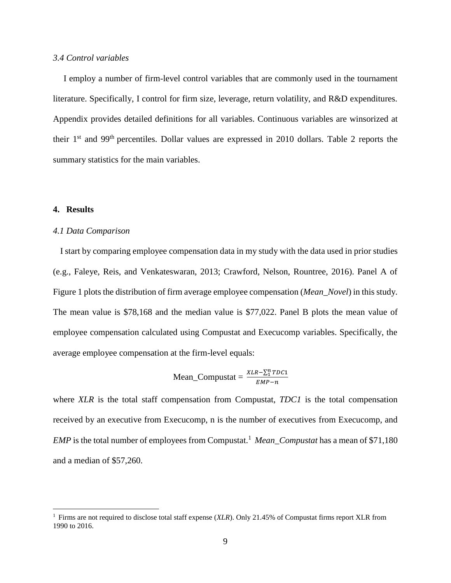#### *3.4 Control variables*

I employ a number of firm-level control variables that are commonly used in the tournament literature. Specifically, I control for firm size, leverage, return volatility, and R&D expenditures. Appendix provides detailed definitions for all variables. Continuous variables are winsorized at their 1st and 99th percentiles. Dollar values are expressed in 2010 dollars. Table 2 reports the summary statistics for the main variables.

### **4. Results**

 $\overline{a}$ 

### *4.1 Data Comparison*

 I start by comparing employee compensation data in my study with the data used in prior studies (e.g., Faleye, Reis, and Venkateswaran, 2013; Crawford, Nelson, Rountree, 2016). Panel A of Figure 1 plots the distribution of firm average employee compensation (*Mean\_Novel*) in this study. The mean value is \$78,168 and the median value is \$77,022. Panel B plots the mean value of employee compensation calculated using Compustat and Execucomp variables. Specifically, the average employee compensation at the firm-level equals:

Mean\_Computat = 
$$
\frac{XLR - \sum_{1}^{n} TDC1}{EMP - n}
$$

where *XLR* is the total staff compensation from Compustat, *TDC1* is the total compensation received by an executive from Execucomp, n is the number of executives from Execucomp, and *EMP* is the total number of employees from Compustat.<sup>1</sup> *Mean\_Compustat* has a mean of \$71,180 and a median of \$57,260.

<sup>1</sup> Firms are not required to disclose total staff expense (*XLR*). Only 21.45% of Compustat firms report XLR from 1990 to 2016.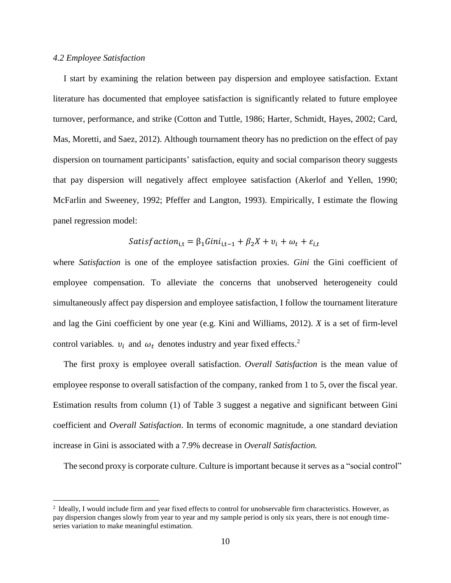## *4.2 Employee Satisfaction*

 $\overline{a}$ 

I start by examining the relation between pay dispersion and employee satisfaction. Extant literature has documented that employee satisfaction is significantly related to future employee turnover, performance, and strike (Cotton and Tuttle, 1986; Harter, Schmidt, Hayes, 2002; Card, Mas, Moretti, and Saez, 2012). Although tournament theory has no prediction on the effect of pay dispersion on tournament participants' satisfaction, equity and social comparison theory suggests that pay dispersion will negatively affect employee satisfaction (Akerlof and Yellen, 1990; McFarlin and Sweeney, 1992; Pfeffer and Langton, 1993). Empirically, I estimate the flowing panel regression model:

$$
Satisfaction_{i,t} = \beta_1 Gini_{i,t-1} + \beta_2 X + v_i + \omega_t + \varepsilon_{i,t}
$$

where *Satisfaction* is one of the employee satisfaction proxies. *Gini* the Gini coefficient of employee compensation. To alleviate the concerns that unobserved heterogeneity could simultaneously affect pay dispersion and employee satisfaction, I follow the tournament literature and lag the Gini coefficient by one year (e.g. Kini and Williams, 2012). *X* is a set of firm-level control variables.  $v_i$  and  $\omega_t$  denotes industry and year fixed effects.<sup>2</sup>

The first proxy is employee overall satisfaction. *Overall Satisfaction* is the mean value of employee response to overall satisfaction of the company, ranked from 1 to 5, over the fiscal year. Estimation results from column (1) of Table 3 suggest a negative and significant between Gini coefficient and *Overall Satisfaction*. In terms of economic magnitude, a one standard deviation increase in Gini is associated with a 7.9% decrease in *Overall Satisfaction.*

The second proxy is corporate culture. Culture is important because it serves as a "social control"

<sup>&</sup>lt;sup>2</sup> Ideally, I would include firm and year fixed effects to control for unobservable firm characteristics. However, as pay dispersion changes slowly from year to year and my sample period is only six years, there is not enough timeseries variation to make meaningful estimation.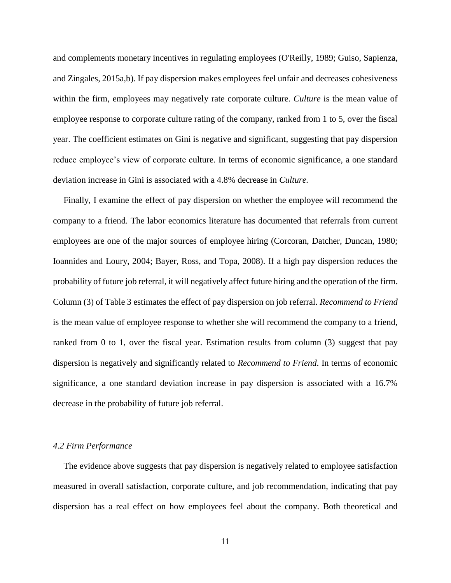and complements monetary incentives in regulating employees (O'Reilly, 1989; Guiso, Sapienza, and Zingales, 2015a,b). If pay dispersion makes employees feel unfair and decreases cohesiveness within the firm, employees may negatively rate corporate culture. *Culture* is the mean value of employee response to corporate culture rating of the company, ranked from 1 to 5, over the fiscal year. The coefficient estimates on Gini is negative and significant, suggesting that pay dispersion reduce employee's view of corporate culture. In terms of economic significance, a one standard deviation increase in Gini is associated with a 4.8% decrease in *Culture.*

Finally, I examine the effect of pay dispersion on whether the employee will recommend the company to a friend. The labor economics literature has documented that referrals from current employees are one of the major sources of employee hiring (Corcoran, Datcher, Duncan, 1980; Ioannides and Loury, 2004; Bayer, Ross, and Topa, 2008). If a high pay dispersion reduces the probability of future job referral, it will negatively affect future hiring and the operation of the firm. Column (3) of Table 3 estimates the effect of pay dispersion on job referral. *Recommend to Friend* is the mean value of employee response to whether she will recommend the company to a friend, ranked from 0 to 1, over the fiscal year. Estimation results from column (3) suggest that pay dispersion is negatively and significantly related to *Recommend to Friend*. In terms of economic significance, a one standard deviation increase in pay dispersion is associated with a 16.7% decrease in the probability of future job referral.

#### *4.2 Firm Performance*

The evidence above suggests that pay dispersion is negatively related to employee satisfaction measured in overall satisfaction, corporate culture, and job recommendation, indicating that pay dispersion has a real effect on how employees feel about the company. Both theoretical and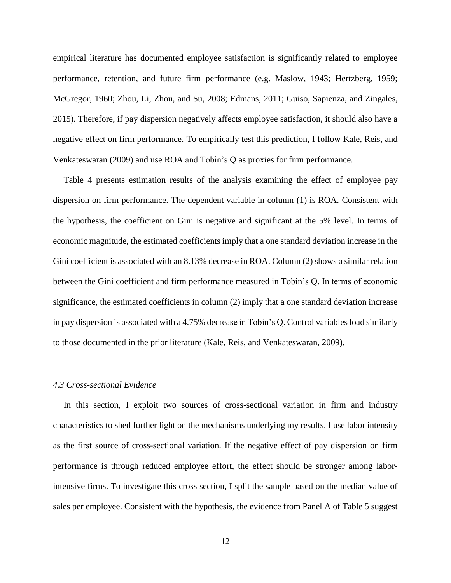empirical literature has documented employee satisfaction is significantly related to employee performance, retention, and future firm performance (e.g. Maslow, 1943; Hertzberg, 1959; McGregor, 1960; Zhou, Li, Zhou, and Su, 2008; Edmans, 2011; Guiso, Sapienza, and Zingales, 2015). Therefore, if pay dispersion negatively affects employee satisfaction, it should also have a negative effect on firm performance. To empirically test this prediction, I follow Kale, Reis, and Venkateswaran (2009) and use ROA and Tobin's Q as proxies for firm performance.

Table 4 presents estimation results of the analysis examining the effect of employee pay dispersion on firm performance. The dependent variable in column (1) is ROA. Consistent with the hypothesis, the coefficient on Gini is negative and significant at the 5% level. In terms of economic magnitude, the estimated coefficients imply that a one standard deviation increase in the Gini coefficient is associated with an 8.13% decrease in ROA. Column (2) shows a similar relation between the Gini coefficient and firm performance measured in Tobin's Q. In terms of economic significance, the estimated coefficients in column (2) imply that a one standard deviation increase in pay dispersion is associated with a 4.75% decrease in Tobin's Q. Control variables load similarly to those documented in the prior literature (Kale, Reis, and Venkateswaran, 2009).

## *4.3 Cross-sectional Evidence*

In this section, I exploit two sources of cross-sectional variation in firm and industry characteristics to shed further light on the mechanisms underlying my results. I use labor intensity as the first source of cross-sectional variation. If the negative effect of pay dispersion on firm performance is through reduced employee effort, the effect should be stronger among laborintensive firms. To investigate this cross section, I split the sample based on the median value of sales per employee. Consistent with the hypothesis, the evidence from Panel A of Table 5 suggest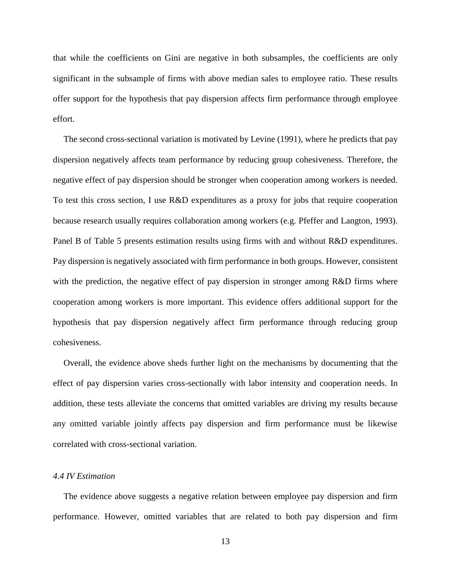that while the coefficients on Gini are negative in both subsamples, the coefficients are only significant in the subsample of firms with above median sales to employee ratio. These results offer support for the hypothesis that pay dispersion affects firm performance through employee effort.

The second cross-sectional variation is motivated by Levine (1991), where he predicts that pay dispersion negatively affects team performance by reducing group cohesiveness. Therefore, the negative effect of pay dispersion should be stronger when cooperation among workers is needed. To test this cross section, I use R&D expenditures as a proxy for jobs that require cooperation because research usually requires collaboration among workers (e.g. Pfeffer and Langton, 1993). Panel B of Table 5 presents estimation results using firms with and without R&D expenditures. Pay dispersion is negatively associated with firm performance in both groups. However, consistent with the prediction, the negative effect of pay dispersion in stronger among R&D firms where cooperation among workers is more important. This evidence offers additional support for the hypothesis that pay dispersion negatively affect firm performance through reducing group cohesiveness.

Overall, the evidence above sheds further light on the mechanisms by documenting that the effect of pay dispersion varies cross-sectionally with labor intensity and cooperation needs. In addition, these tests alleviate the concerns that omitted variables are driving my results because any omitted variable jointly affects pay dispersion and firm performance must be likewise correlated with cross-sectional variation.

#### *4.4 IV Estimation*

The evidence above suggests a negative relation between employee pay dispersion and firm performance. However, omitted variables that are related to both pay dispersion and firm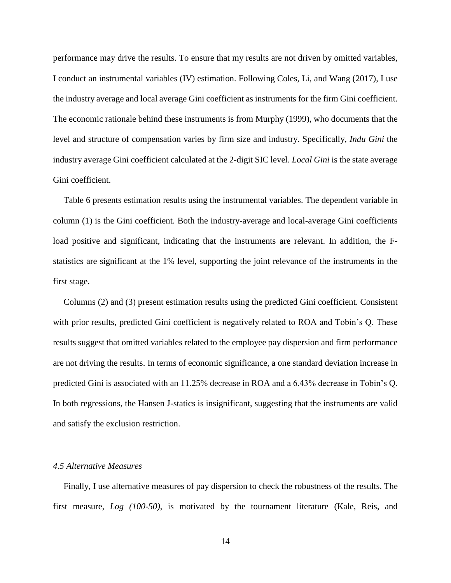performance may drive the results. To ensure that my results are not driven by omitted variables, I conduct an instrumental variables (IV) estimation. Following Coles, Li, and Wang (2017), I use the industry average and local average Gini coefficient as instruments for the firm Gini coefficient. The economic rationale behind these instruments is from Murphy (1999), who documents that the level and structure of compensation varies by firm size and industry. Specifically, *Indu Gini* the industry average Gini coefficient calculated at the 2-digit SIC level. *Local Gini* is the state average Gini coefficient.

Table 6 presents estimation results using the instrumental variables. The dependent variable in column (1) is the Gini coefficient. Both the industry-average and local-average Gini coefficients load positive and significant, indicating that the instruments are relevant. In addition, the Fstatistics are significant at the 1% level, supporting the joint relevance of the instruments in the first stage.

Columns (2) and (3) present estimation results using the predicted Gini coefficient. Consistent with prior results, predicted Gini coefficient is negatively related to ROA and Tobin's Q. These results suggest that omitted variables related to the employee pay dispersion and firm performance are not driving the results. In terms of economic significance, a one standard deviation increase in predicted Gini is associated with an 11.25% decrease in ROA and a 6.43% decrease in Tobin's Q. In both regressions, the Hansen J-statics is insignificant, suggesting that the instruments are valid and satisfy the exclusion restriction.

# *4.5 Alternative Measures*

Finally, I use alternative measures of pay dispersion to check the robustness of the results. The first measure, *Log (100-50)*, is motivated by the tournament literature (Kale, Reis, and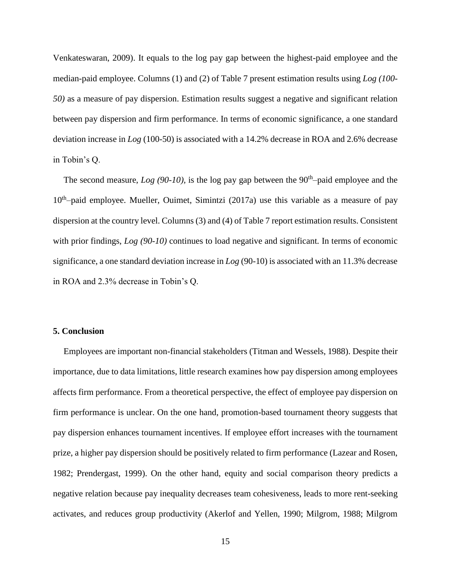Venkateswaran, 2009). It equals to the log pay gap between the highest-paid employee and the median-paid employee. Columns (1) and (2) of Table 7 present estimation results using *Log (100- 50)* as a measure of pay dispersion. Estimation results suggest a negative and significant relation between pay dispersion and firm performance. In terms of economic significance, a one standard deviation increase in *Log* (100-50) is associated with a 14.2% decrease in ROA and 2.6% decrease in Tobin's Q.

The second measure,  $Log (90-10)$ , is the log pay gap between the  $90<sup>th</sup>$ -paid employee and the 10<sup>th</sup>-paid employee. Mueller, Ouimet, Simintzi (2017a) use this variable as a measure of pay dispersion at the country level. Columns (3) and (4) of Table 7 report estimation results. Consistent with prior findings, *Log (90-10)* continues to load negative and significant*.* In terms of economic significance, a one standard deviation increase in *Log* (90-10) is associated with an 11.3% decrease in ROA and 2.3% decrease in Tobin's Q.

#### **5. Conclusion**

Employees are important non-financial stakeholders (Titman and Wessels, 1988). Despite their importance, due to data limitations, little research examines how pay dispersion among employees affects firm performance. From a theoretical perspective, the effect of employee pay dispersion on firm performance is unclear. On the one hand, promotion-based tournament theory suggests that pay dispersion enhances tournament incentives. If employee effort increases with the tournament prize, a higher pay dispersion should be positively related to firm performance (Lazear and Rosen, 1982; Prendergast, 1999). On the other hand, equity and social comparison theory predicts a negative relation because pay inequality decreases team cohesiveness, leads to more rent-seeking activates, and reduces group productivity (Akerlof and Yellen, 1990; Milgrom, 1988; Milgrom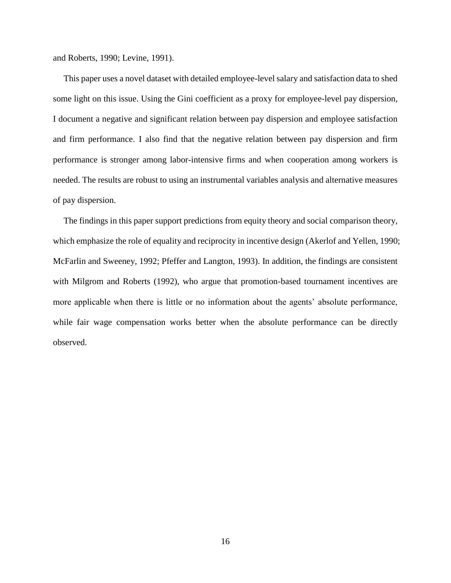and Roberts, 1990; Levine, 1991).

This paper uses a novel dataset with detailed employee-level salary and satisfaction data to shed some light on this issue. Using the Gini coefficient as a proxy for employee-level pay dispersion, I document a negative and significant relation between pay dispersion and employee satisfaction and firm performance. I also find that the negative relation between pay dispersion and firm performance is stronger among labor-intensive firms and when cooperation among workers is needed. The results are robust to using an instrumental variables analysis and alternative measures of pay dispersion.

The findings in this paper support predictions from equity theory and social comparison theory, which emphasize the role of equality and reciprocity in incentive design (Akerlof and Yellen, 1990; McFarlin and Sweeney, 1992; Pfeffer and Langton, 1993). In addition, the findings are consistent with Milgrom and Roberts (1992), who argue that promotion-based tournament incentives are more applicable when there is little or no information about the agents' absolute performance, while fair wage compensation works better when the absolute performance can be directly observed.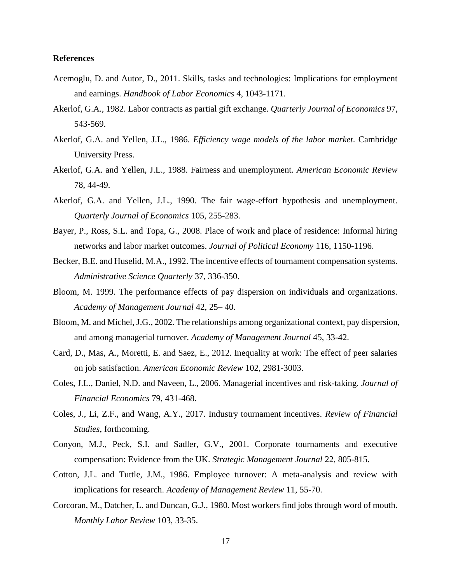## **References**

- Acemoglu, D. and Autor, D., 2011. Skills, tasks and technologies: Implications for employment and earnings. *Handbook of Labor Economics* 4, 1043-1171.
- Akerlof, G.A., 1982. Labor contracts as partial gift exchange. *Quarterly Journal of Economics* 97, 543-569.
- Akerlof, G.A. and Yellen, J.L., 1986. *Efficiency wage models of the labor market*. Cambridge University Press.
- Akerlof, G.A. and Yellen, J.L., 1988. Fairness and unemployment. *American Economic Review*  78, 44-49.
- Akerlof, G.A. and Yellen, J.L., 1990. The fair wage-effort hypothesis and unemployment. *Quarterly Journal of Economics* 105, 255-283.
- Bayer, P., Ross, S.L. and Topa, G., 2008. Place of work and place of residence: Informal hiring networks and labor market outcomes. *Journal of Political Economy* 116, 1150-1196.
- Becker, B.E. and Huselid, M.A., 1992. The incentive effects of tournament compensation systems. *Administrative Science Quarterly* 37, 336-350.
- Bloom, M. 1999. The performance effects of pay dispersion on individuals and organizations. *Academy of Management Journal* 42, 25– 40.
- Bloom, M. and Michel, J.G., 2002. The relationships among organizational context, pay dispersion, and among managerial turnover. *Academy of Management Journal* 45, 33-42.
- Card, D., Mas, A., Moretti, E. and Saez, E., 2012. Inequality at work: The effect of peer salaries on job satisfaction. *American Economic Review* 102, 2981-3003.
- Coles, J.L., Daniel, N.D. and Naveen, L., 2006. Managerial incentives and risk-taking. *Journal of Financial Economics* 79, 431-468.
- Coles, J., Li, Z.F., and Wang, A.Y., 2017. Industry tournament incentives. *Review of Financial Studies*, forthcoming.
- Conyon, M.J., Peck, S.I. and Sadler, G.V., 2001. Corporate tournaments and executive compensation: Evidence from the UK. *Strategic Management Journal* 22, 805-815.
- Cotton, J.L. and Tuttle, J.M., 1986. Employee turnover: A meta-analysis and review with implications for research. *Academy of Management Review* 11, 55-70.
- Corcoran, M., Datcher, L. and Duncan, G.J., 1980. Most workers find jobs through word of mouth. *Monthly Labor Review* 103, 33-35.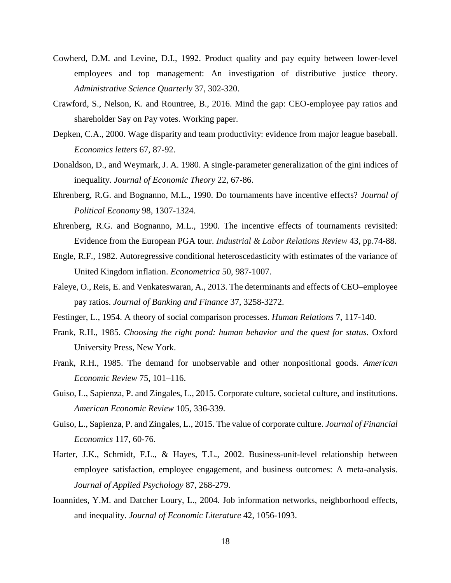- Cowherd, D.M. and Levine, D.I., 1992. Product quality and pay equity between lower-level employees and top management: An investigation of distributive justice theory. *Administrative Science Quarterly* 37, 302-320.
- Crawford, S., Nelson, K. and Rountree, B., 2016. Mind the gap: CEO-employee pay ratios and shareholder Say on Pay votes. Working paper.
- Depken, C.A., 2000. Wage disparity and team productivity: evidence from major league baseball. *Economics letters* 67, 87-92.
- Donaldson, D., and Weymark, J. A. 1980. A single-parameter generalization of the gini indices of inequality. *Journal of Economic Theory* 22, 67-86.
- Ehrenberg, R.G. and Bognanno, M.L., 1990. Do tournaments have incentive effects? *Journal of Political Economy* 98, 1307-1324.
- Ehrenberg, R.G. and Bognanno, M.L., 1990. The incentive effects of tournaments revisited: Evidence from the European PGA tour. *Industrial & Labor Relations Review* 43, pp.74-88.
- Engle, R.F., 1982. Autoregressive conditional heteroscedasticity with estimates of the variance of United Kingdom inflation. *Econometrica* 50, 987-1007.
- Faleye, O., Reis, E. and Venkateswaran, A., 2013. The determinants and effects of CEO–employee pay ratios. *Journal of Banking and Finance* 37, 3258-3272.
- Festinger, L., 1954. A theory of social comparison processes. *Human Relations* 7, 117-140.
- Frank, R.H., 1985. *Choosing the right pond: human behavior and the quest for status.* Oxford University Press, New York.
- Frank, R.H., 1985. The demand for unobservable and other nonpositional goods. *American Economic Review* 75, 101–116.
- Guiso, L., Sapienza, P. and Zingales, L., 2015. Corporate culture, societal culture, and institutions. *American Economic Review* 105, 336-339.
- Guiso, L., Sapienza, P. and Zingales, L., 2015. The value of corporate culture. *Journal of Financial Economics* 117, 60-76.
- Harter, J.K., Schmidt, F.L., & Hayes, T.L., 2002. Business-unit-level relationship between employee satisfaction, employee engagement, and business outcomes: A meta-analysis. *Journal of Applied Psychology* 87, 268-279.
- Ioannides, Y.M. and Datcher Loury, L., 2004. Job information networks, neighborhood effects, and inequality. *Journal of Economic Literature* 42, 1056-1093.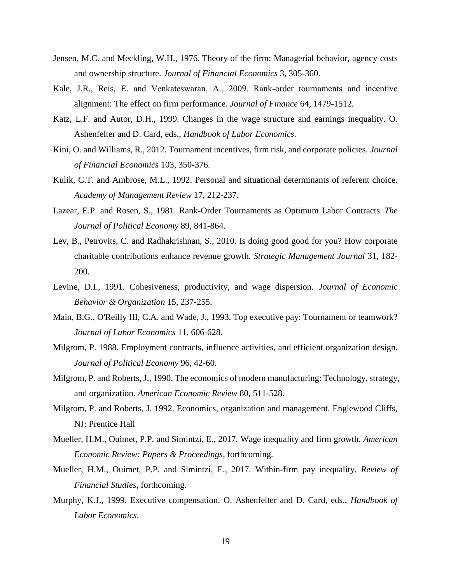- Jensen, M.C. and Meckling, W.H., 1976. Theory of the firm: Managerial behavior, agency costs and ownership structure. *Journal of Financial Economics* 3, 305-360.
- Kale, J.R., Reis, E. and Venkateswaran, A., 2009. Rank‐order tournaments and incentive alignment: The effect on firm performance. *Journal of Finance* 64, 1479-1512.
- Katz, L.F. and Autor, D.H., 1999. Changes in the wage structure and earnings inequality. O. Ashenfelter and D. Card, eds., *Handbook of Labor Economics*.
- Kini, O. and Williams, R., 2012. Tournament incentives, firm risk, and corporate policies. *Journal of Financial Economics* 103, 350-376.
- Kulik, C.T. and Ambrose, M.L., 1992. Personal and situational determinants of referent choice. *Academy of Management Review* 17, 212-237.
- Lazear, E.P. and Rosen, S., 1981. Rank-Order Tournaments as Optimum Labor Contracts. *The Journal of Political Economy* 89, 841-864.
- Lev, B., Petrovits, C. and Radhakrishnan, S., 2010. Is doing good good for you? How corporate charitable contributions enhance revenue growth. *Strategic Management Journal* 31, 182- 200.
- Levine, D.I., 1991. Cohesiveness, productivity, and wage dispersion. *Journal of Economic Behavior & Organization* 15, 237-255.
- Main, B.G., O'Reilly III, C.A. and Wade, J., 1993. Top executive pay: Tournament or teamwork? *Journal of Labor Economics* 11, 606-628.
- Milgrom, P. 1988. Employment contracts, influence activities, and efficient organization design. *Journal of Political Economy* 96, 42-60.
- Milgrom, P. and Roberts, J., 1990. The economics of modern manufacturing: Technology, strategy, and organization. *American Economic Review* 80, 511-528.
- Milgrom, P. and Roberts, J. 1992. Economics, organization and management. Englewood Cliffs, NJ: Prentice Hall
- Mueller, H.M., Ouimet, P.P. and Simintzi, E., 2017. Wage inequality and firm growth. *American Economic Review: Papers & Proceedings*, forthcoming.
- Mueller, H.M., Ouimet, P.P. and Simintzi, E., 2017. Within-firm pay inequality. *Review of Financial Studies*, forthcoming.
- Murphy, K.J., 1999. Executive compensation. O. Ashenfelter and D. Card, eds., *Handbook of Labor Economics*.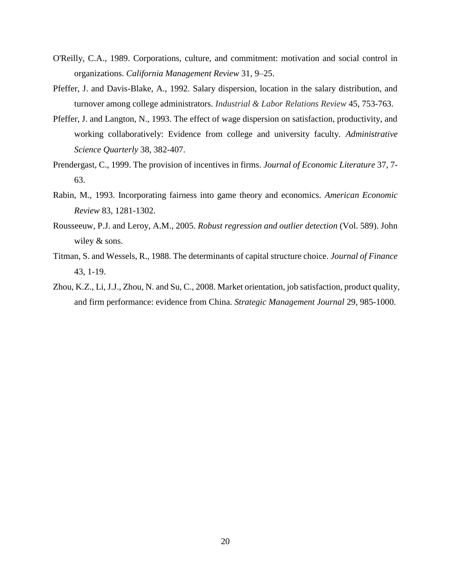- O'Reilly, C.A., 1989. Corporations, culture, and commitment: motivation and social control in organizations. *California Management Review* 31, 9–25.
- Pfeffer, J. and Davis-Blake, A., 1992. Salary dispersion, location in the salary distribution, and turnover among college administrators. *Industrial & Labor Relations Review* 45, 753-763.
- Pfeffer, J. and Langton, N., 1993. The effect of wage dispersion on satisfaction, productivity, and working collaboratively: Evidence from college and university faculty. *Administrative Science Quarterly* 38, 382-407.
- Prendergast, C., 1999. The provision of incentives in firms. *Journal of Economic Literature* 37, 7- 63.
- Rabin, M., 1993. Incorporating fairness into game theory and economics. *American Economic Review* 83, 1281-1302.
- Rousseeuw, P.J. and Leroy, A.M., 2005. *Robust regression and outlier detection* (Vol. 589). John wiley  $&$  sons.
- Titman, S. and Wessels, R., 1988. The determinants of capital structure choice. *Journal of Finance* 43, 1-19.
- Zhou, K.Z., Li, J.J., Zhou, N. and Su, C., 2008. Market orientation, job satisfaction, product quality, and firm performance: evidence from China. *Strategic Management Journal* 29, 985-1000.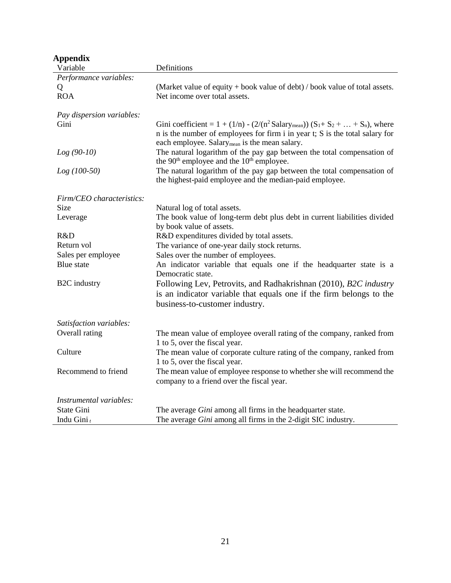| Appendix                  |                                                                                                                                                                                                                                                  |
|---------------------------|--------------------------------------------------------------------------------------------------------------------------------------------------------------------------------------------------------------------------------------------------|
| Variable                  | Definitions                                                                                                                                                                                                                                      |
| Performance variables:    |                                                                                                                                                                                                                                                  |
| Q                         | (Market value of equity + book value of debt) / book value of total assets.                                                                                                                                                                      |
| <b>ROA</b>                | Net income over total assets.                                                                                                                                                                                                                    |
|                           |                                                                                                                                                                                                                                                  |
| Pay dispersion variables: |                                                                                                                                                                                                                                                  |
| Gini                      | Gini coefficient = $1 + (1/n) - (2/(n^2 \text{Salary}_{\text{mean}})) (S_1 + S_2 +  + S_n)$ , where<br>n is the number of employees for firm i in year t; S is the total salary for<br>each employee. Salary <sub>mean</sub> is the mean salary. |
| $Log(90-10)$              | The natural logarithm of the pay gap between the total compensation of<br>the 90 <sup>th</sup> employee and the 10 <sup>th</sup> employee.                                                                                                       |
| $Log(100-50)$             | The natural logarithm of the pay gap between the total compensation of<br>the highest-paid employee and the median-paid employee.                                                                                                                |
|                           |                                                                                                                                                                                                                                                  |
| Firm/CEO characteristics: |                                                                                                                                                                                                                                                  |
| Size                      | Natural log of total assets.                                                                                                                                                                                                                     |
| Leverage                  | The book value of long-term debt plus debt in current liabilities divided                                                                                                                                                                        |
|                           | by book value of assets.                                                                                                                                                                                                                         |
| R&D                       | R&D expenditures divided by total assets.                                                                                                                                                                                                        |
| Return vol                | The variance of one-year daily stock returns.                                                                                                                                                                                                    |
| Sales per employee        | Sales over the number of employees.                                                                                                                                                                                                              |
| <b>Blue</b> state         | An indicator variable that equals one if the headquarter state is a<br>Democratic state.                                                                                                                                                         |
| <b>B2C</b> industry       | Following Lev, Petrovits, and Radhakrishnan (2010), B2C industry                                                                                                                                                                                 |
|                           | is an indicator variable that equals one if the firm belongs to the                                                                                                                                                                              |
|                           | business-to-customer industry.                                                                                                                                                                                                                   |
| Satisfaction variables:   |                                                                                                                                                                                                                                                  |
| Overall rating            | The mean value of employee overall rating of the company, ranked from                                                                                                                                                                            |
|                           | 1 to 5, over the fiscal year.                                                                                                                                                                                                                    |
| Culture                   | The mean value of corporate culture rating of the company, ranked from                                                                                                                                                                           |
|                           | 1 to 5, over the fiscal year.                                                                                                                                                                                                                    |
| Recommend to friend       | The mean value of employee response to whether she will recommend the<br>company to a friend over the fiscal year.                                                                                                                               |
| Instrumental variables:   |                                                                                                                                                                                                                                                  |
| <b>State Gini</b>         | The average Gini among all firms in the headquarter state.                                                                                                                                                                                       |
| Indu Gini $_t$            | The average Gini among all firms in the 2-digit SIC industry.                                                                                                                                                                                    |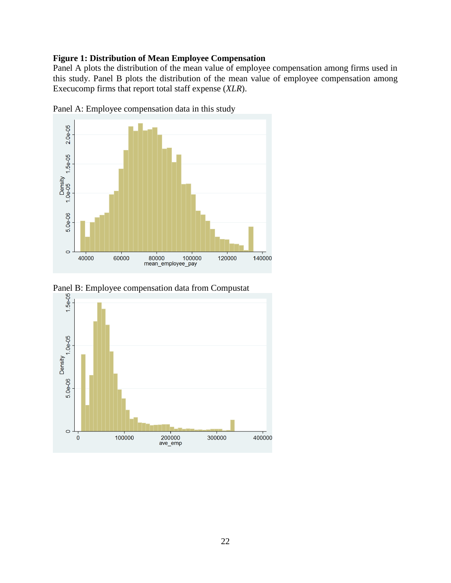# **Figure 1: Distribution of Mean Employee Compensation**

Panel A plots the distribution of the mean value of employee compensation among firms used in this study. Panel B plots the distribution of the mean value of employee compensation among Execucomp firms that report total staff expense (*XLR*).



Panel A: Employee compensation data in this study



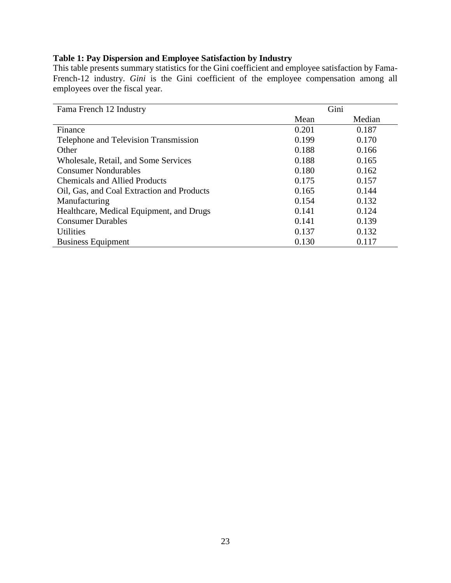# **Table 1: Pay Dispersion and Employee Satisfaction by Industry**

This table presents summary statistics for the Gini coefficient and employee satisfaction by Fama-French-12 industry. *Gini* is the Gini coefficient of the employee compensation among all employees over the fiscal year.

| Fama French 12 Industry                    | Gini  |        |
|--------------------------------------------|-------|--------|
|                                            | Mean  | Median |
| Finance                                    | 0.201 | 0.187  |
| Telephone and Television Transmission      | 0.199 | 0.170  |
| Other                                      | 0.188 | 0.166  |
| Wholesale, Retail, and Some Services       | 0.188 | 0.165  |
| <b>Consumer Nondurables</b>                | 0.180 | 0.162  |
| Chemicals and Allied Products              | 0.175 | 0.157  |
| Oil, Gas, and Coal Extraction and Products | 0.165 | 0.144  |
| Manufacturing                              | 0.154 | 0.132  |
| Healthcare, Medical Equipment, and Drugs   | 0.141 | 0.124  |
| <b>Consumer Durables</b>                   | 0.141 | 0.139  |
| <b>Utilities</b>                           | 0.137 | 0.132  |
| <b>Business Equipment</b>                  | 0.130 | 0.117  |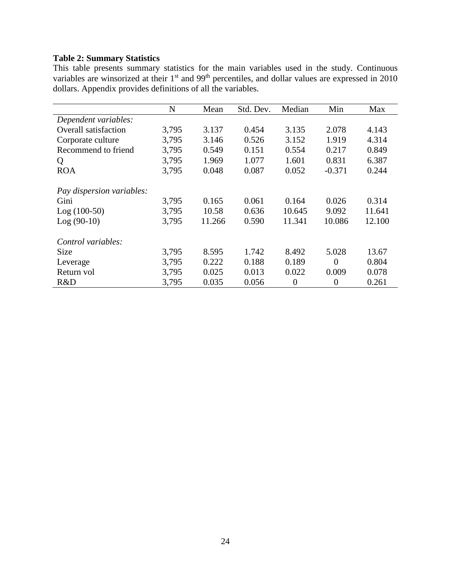# **Table 2: Summary Statistics**

This table presents summary statistics for the main variables used in the study. Continuous variables are winsorized at their  $1<sup>st</sup>$  and 99<sup>th</sup> percentiles, and dollar values are expressed in 2010 dollars. Appendix provides definitions of all the variables.

|                             | N     | Mean   | Std. Dev. | Median         | Min            | Max    |
|-----------------------------|-------|--------|-----------|----------------|----------------|--------|
| Dependent variables:        |       |        |           |                |                |        |
| <b>Overall satisfaction</b> | 3,795 | 3.137  | 0.454     | 3.135          | 2.078          | 4.143  |
| Corporate culture           | 3,795 | 3.146  | 0.526     | 3.152          | 1.919          | 4.314  |
| Recommend to friend         | 3,795 | 0.549  | 0.151     | 0.554          | 0.217          | 0.849  |
| Q                           | 3,795 | 1.969  | 1.077     | 1.601          | 0.831          | 6.387  |
| <b>ROA</b>                  | 3,795 | 0.048  | 0.087     | 0.052          | $-0.371$       | 0.244  |
| Pay dispersion variables:   |       |        |           |                |                |        |
| Gini                        | 3,795 | 0.165  | 0.061     | 0.164          | 0.026          | 0.314  |
| $Log(100-50)$               | 3,795 | 10.58  | 0.636     | 10.645         | 9.092          | 11.641 |
| $Log(90-10)$                | 3,795 | 11.266 | 0.590     | 11.341         | 10.086         | 12.100 |
| Control variables:          |       |        |           |                |                |        |
| <b>Size</b>                 | 3,795 | 8.595  | 1.742     | 8.492          | 5.028          | 13.67  |
| Leverage                    | 3,795 | 0.222  | 0.188     | 0.189          | $\theta$       | 0.804  |
| Return vol                  | 3,795 | 0.025  | 0.013     | 0.022          | 0.009          | 0.078  |
| R&D                         | 3,795 | 0.035  | 0.056     | $\overline{0}$ | $\overline{0}$ | 0.261  |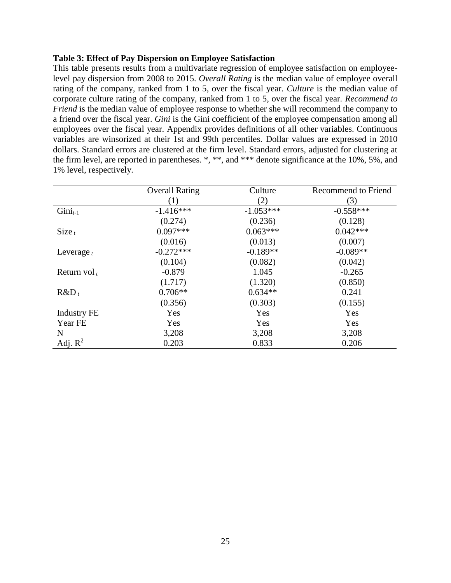# **Table 3: Effect of Pay Dispersion on Employee Satisfaction**

This table presents results from a multivariate regression of employee satisfaction on employeelevel pay dispersion from 2008 to 2015. *Overall Rating* is the median value of employee overall rating of the company, ranked from 1 to 5, over the fiscal year. *Culture* is the median value of corporate culture rating of the company, ranked from 1 to 5, over the fiscal year. *Recommend to Friend* is the median value of employee response to whether she will recommend the company to a friend over the fiscal year. *Gini* is the Gini coefficient of the employee compensation among all employees over the fiscal year. Appendix provides definitions of all other variables. Continuous variables are winsorized at their 1st and 99th percentiles. Dollar values are expressed in 2010 dollars. Standard errors are clustered at the firm level. Standard errors, adjusted for clustering at the firm level, are reported in parentheses. \*, \*\*, and \*\*\* denote significance at the 10%, 5%, and 1% level, respectively.

|                    | <b>Overall Rating</b> | Culture     | <b>Recommend to Friend</b> |
|--------------------|-----------------------|-------------|----------------------------|
|                    | (1)                   | (2)         | (3)                        |
| $Gini_{t-1}$       | $-1.416***$           | $-1.053***$ | $-0.558***$                |
|                    | (0.274)               | (0.236)     | (0.128)                    |
| $Size_t$           | $0.097***$            | $0.063***$  | $0.042***$                 |
|                    | (0.016)               | (0.013)     | (0.007)                    |
| Leverage $t$       | $-0.272***$           | $-0.189**$  | $-0.089**$                 |
|                    | (0.104)               | (0.082)     | (0.042)                    |
| Return vol $t$     | $-0.879$              | 1.045       | $-0.265$                   |
|                    | (1.717)               | (1.320)     | (0.850)                    |
| $R&D_t$            | $0.706**$             | $0.634**$   | 0.241                      |
|                    | (0.356)               | (0.303)     | (0.155)                    |
| <b>Industry FE</b> | Yes                   | Yes         | Yes                        |
| Year FE            | Yes                   | Yes         | Yes                        |
| N                  | 3,208                 | 3,208       | 3,208                      |
| Adj. $R^2$         | 0.203                 | 0.833       | 0.206                      |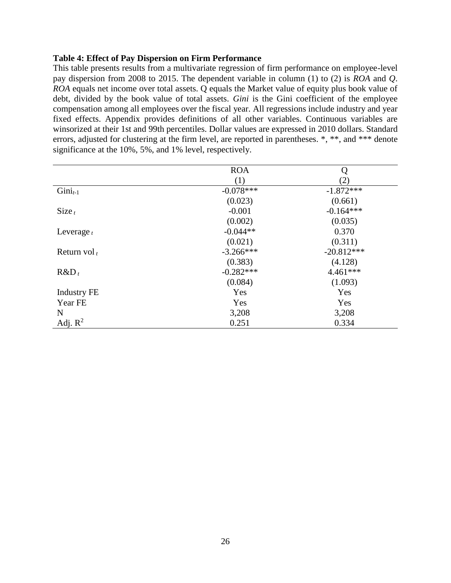# **Table 4: Effect of Pay Dispersion on Firm Performance**

This table presents results from a multivariate regression of firm performance on employee-level pay dispersion from 2008 to 2015. The dependent variable in column (1) to (2) is *ROA* and *Q*. *ROA* equals net income over total assets. Q equals the Market value of equity plus book value of debt, divided by the book value of total assets. *Gini* is the Gini coefficient of the employee compensation among all employees over the fiscal year. All regressions include industry and year fixed effects. Appendix provides definitions of all other variables. Continuous variables are winsorized at their 1st and 99th percentiles. Dollar values are expressed in 2010 dollars. Standard errors, adjusted for clustering at the firm level, are reported in parentheses. \*, \*\*, and \*\*\* denote significance at the 10%, 5%, and 1% level, respectively.

|                    | <b>ROA</b>  | Q            |
|--------------------|-------------|--------------|
|                    | (1)         | (2)          |
| $Gini_{t-1}$       | $-0.078***$ | $-1.872***$  |
|                    | (0.023)     | (0.661)      |
| $Size_t$           | $-0.001$    | $-0.164***$  |
|                    | (0.002)     | (0.035)      |
| Leverage $t$       | $-0.044**$  | 0.370        |
|                    | (0.021)     | (0.311)      |
| Return vol $t$     | $-3.266***$ | $-20.812***$ |
|                    | (0.383)     | (4.128)      |
| $R&D_t$            | $-0.282***$ | 4.461***     |
|                    | (0.084)     | (1.093)      |
| <b>Industry FE</b> | Yes         | Yes          |
| Year FE            | Yes         | Yes          |
| N                  | 3,208       | 3,208        |
| Adj. $R^2$         | 0.251       | 0.334        |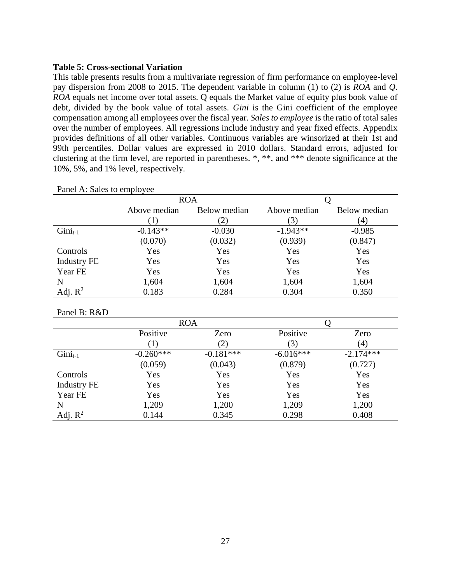# **Table 5: Cross-sectional Variation**

This table presents results from a multivariate regression of firm performance on employee-level pay dispersion from 2008 to 2015. The dependent variable in column (1) to (2) is *ROA* and *Q*. *ROA* equals net income over total assets. Q equals the Market value of equity plus book value of debt, divided by the book value of total assets. *Gini* is the Gini coefficient of the employee compensation among all employees over the fiscal year. *Sales to employee* is the ratio of total sales over the number of employees. All regressions include industry and year fixed effects. Appendix provides definitions of all other variables. Continuous variables are winsorized at their 1st and 99th percentiles. Dollar values are expressed in 2010 dollars. Standard errors, adjusted for clustering at the firm level, are reported in parentheses. \*, \*\*, and \*\*\* denote significance at the 10%, 5%, and 1% level, respectively.

| Panel A: Sales to employee |              |              |            |              |  |
|----------------------------|--------------|--------------|------------|--------------|--|
|                            |              | <b>ROA</b>   |            |              |  |
|                            | Above median | Below median |            | Below median |  |
|                            |              |              | 3)         | (4)          |  |
| $Gini_{t-1}$               | $-0.143**$   | $-0.030$     | $-1.943**$ | $-0.985$     |  |
|                            | (0.070)      | (0.032)      | (0.939)    | (0.847)      |  |
| Controls                   | Yes          | Yes          | Yes        | Yes          |  |
| <b>Industry FE</b>         | Yes          | Yes          | Yes        | Yes          |  |
| Year FE                    | Yes          | Yes          | Yes        | Yes          |  |
| N                          | 1,604        | 1,604        | 1,604      | 1,604        |  |
| Adj. $R^2$                 | 0.183        | 0.284        | 0.304      | 0.350        |  |

Panel B: R&D

|                    | <b>ROA</b>  |             |             |             |
|--------------------|-------------|-------------|-------------|-------------|
|                    | Positive    | Zero        | Positive    | Zero        |
|                    |             | (2)         | 3)          | (4)         |
| $Gini_{t-1}$       | $-0.260***$ | $-0.181***$ | $-6.016***$ | $-2.174***$ |
|                    | (0.059)     | (0.043)     | (0.879)     | (0.727)     |
| Controls           | Yes         | Yes         | Yes         | Yes         |
| <b>Industry FE</b> | Yes         | Yes         | Yes         | Yes         |
| Year FE            | Yes         | Yes         | Yes         | Yes         |
| N                  | 1,209       | 1,200       | 1,209       | 1,200       |
| Adj. $R^2$         | 0.144       | 0.345       | 0.298       | 0.408       |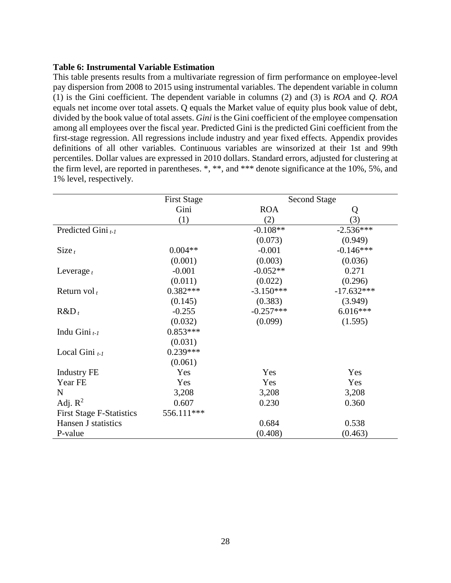# **Table 6: Instrumental Variable Estimation**

This table presents results from a multivariate regression of firm performance on employee-level pay dispersion from 2008 to 2015 using instrumental variables. The dependent variable in column (1) is the Gini coefficient. The dependent variable in columns (2) and (3) is *ROA* and *Q*. *ROA* equals net income over total assets. Q equals the Market value of equity plus book value of debt, divided by the book value of total assets. *Gini* is the Gini coefficient of the employee compensation among all employees over the fiscal year. Predicted Gini is the predicted Gini coefficient from the first-stage regression. All regressions include industry and year fixed effects. Appendix provides definitions of all other variables. Continuous variables are winsorized at their 1st and 99th percentiles. Dollar values are expressed in 2010 dollars. Standard errors, adjusted for clustering at the firm level, are reported in parentheses. \*, \*\*, and \*\*\* denote significance at the 10%, 5%, and 1% level, respectively.

|                                 | <b>First Stage</b> |             | <b>Second Stage</b> |
|---------------------------------|--------------------|-------------|---------------------|
|                                 | Gini               | <b>ROA</b>  | Q                   |
|                                 | (1)                | (2)         | (3)                 |
| Predicted Gini $_{t-1}$         |                    | $-0.108**$  | $-2.536***$         |
|                                 |                    | (0.073)     | (0.949)             |
| $Size_t$                        | $0.004**$          | $-0.001$    | $-0.146***$         |
|                                 | (0.001)            | (0.003)     | (0.036)             |
| Leverage $t$                    | $-0.001$           | $-0.052**$  | 0.271               |
|                                 | (0.011)            | (0.022)     | (0.296)             |
| Return vol $t$                  | $0.382***$         | $-3.150***$ | $-17.632***$        |
|                                 | (0.145)            | (0.383)     | (3.949)             |
| $R&D_t$                         | $-0.255$           | $-0.257***$ | $6.016***$          |
|                                 | (0.032)            | (0.099)     | (1.595)             |
| Indu Gini $_{t-1}$              | $0.853***$         |             |                     |
|                                 | (0.031)            |             |                     |
| Local Gini $_{t-1}$             | $0.239***$         |             |                     |
|                                 | (0.061)            |             |                     |
| <b>Industry FE</b>              | Yes                | Yes         | Yes                 |
| Year FE                         | Yes                | Yes         | Yes                 |
| $\mathbf N$                     | 3,208              | 3,208       | 3,208               |
| Adj. $R^2$                      | 0.607              | 0.230       | 0.360               |
| <b>First Stage F-Statistics</b> | 556.111***         |             |                     |
| Hansen J statistics             |                    | 0.684       | 0.538               |
| P-value                         |                    | (0.408)     | (0.463)             |